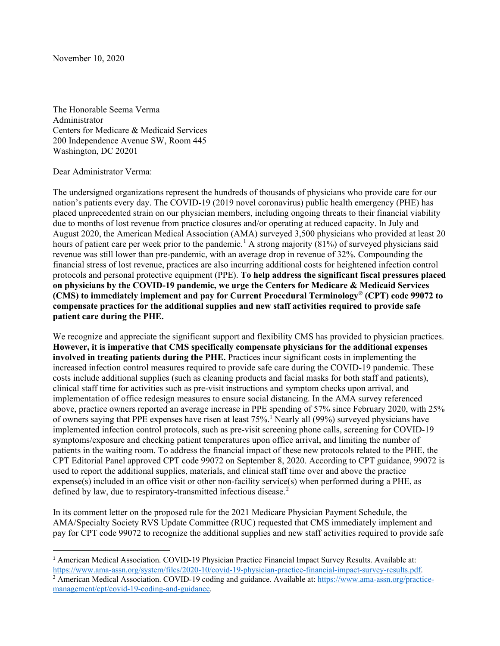November 10, 2020

The Honorable Seema Verma Administrator Centers for Medicare & Medicaid Services 200 Independence Avenue SW, Room 445 Washington, DC 20201

## Dear Administrator Verma:

The undersigned organizations represent the hundreds of thousands of physicians who provide care for our nation's patients every day. The COVID-19 (2019 novel coronavirus) public health emergency (PHE) has placed unprecedented strain on our physician members, including ongoing threats to their financial viability due to months of lost revenue from practice closures and/or operating at reduced capacity. In July and August 2020, the American Medical Association (AMA) surveyed 3,500 physicians who provided at least 20 hours of patient care per week prior to the pandemic.<sup>[1](#page-0-0)</sup> A strong majority (81%) of surveyed physicians said revenue was still lower than pre-pandemic, with an average drop in revenue of 32%. Compounding the financial stress of lost revenue, practices are also incurring additional costs for heightened infection control protocols and personal protective equipment (PPE). **To help address the significant fiscal pressures placed on physicians by the COVID-19 pandemic, we urge the Centers for Medicare & Medicaid Services (CMS) to immediately implement and pay for Current Procedural Terminology® (CPT) code 99072 to compensate practices for the additional supplies and new staff activities required to provide safe patient care during the PHE.**

We recognize and appreciate the significant support and flexibility CMS has provided to physician practices. **However, it is imperative that CMS specifically compensate physicians for the additional expenses involved in treating patients during the PHE.** Practices incur significant costs in implementing the increased infection control measures required to provide safe care during the COVID-19 pandemic. These costs include additional supplies (such as cleaning products and facial masks for both staff and patients), clinical staff time for activities such as pre-visit instructions and symptom checks upon arrival, and implementation of office redesign measures to ensure social distancing. In the AMA survey referenced above, practice owners reported an average increase in PPE spending of 57% since February 2020, with 25% of owners saying that PPE expenses have risen at least  $75\%$ .<sup>1</sup> Nearly all (99%) surveyed physicians have implemented infection control protocols, such as pre-visit screening phone calls, screening for COVID-19 symptoms/exposure and checking patient temperatures upon office arrival, and limiting the number of patients in the waiting room. To address the financial impact of these new protocols related to the PHE, the CPT Editorial Panel approved CPT code 99072 on September 8, 2020. According to CPT guidance, 99072 is used to report the additional supplies, materials, and clinical staff time over and above the practice expense(s) included in an office visit or other non-facility service(s) when performed during a PHE, as defined by law, due to respiratory-transmitted infectious disease.<sup>[2](#page-0-1)</sup>

In its comment letter on the proposed rule for the 2021 Medicare Physician Payment Schedule, the AMA/Specialty Society RVS Update Committee (RUC) requested that CMS immediately implement and pay for CPT code 99072 to recognize the additional supplies and new staff activities required to provide safe

<span id="page-0-0"></span><sup>&</sup>lt;sup>1</sup> American Medical Association. COVID-19 Physician Practice Financial Impact Survey Results. Available at: [https://www.ama-assn.org/system/files/2020-10/covid-19-physician-practice-financial-impact-survey-results.pdf.](https://www.ama-assn.org/system/files/2020-10/covid-19-physician-practice-financial-impact-survey-results.pdf)

<span id="page-0-1"></span><sup>&</sup>lt;sup>2</sup> American Medical Association. COVID-19 coding and guidance. Available at: [https://www.ama-assn.org/practice](https://www.ama-assn.org/practice-management/cpt/covid-19-coding-and-guidance)[management/cpt/covid-19-coding-and-guidance.](https://www.ama-assn.org/practice-management/cpt/covid-19-coding-and-guidance)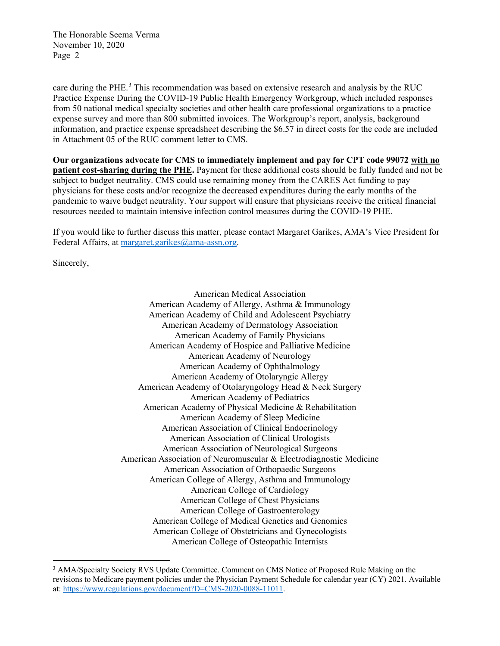care during the PHE.<sup>[3](#page-1-0)</sup> This recommendation was based on extensive research and analysis by the RUC Practice Expense During the COVID-19 Public Health Emergency Workgroup, which included responses from 50 national medical specialty societies and other health care professional organizations to a practice expense survey and more than 800 submitted invoices. The Workgroup's report, analysis, background information, and practice expense spreadsheet describing the \$6.57 in direct costs for the code are included in Attachment 05 of the RUC comment letter to CMS.

**Our organizations advocate for CMS to immediately implement and pay for CPT code 99072 with no patient cost-sharing during the PHE.** Payment for these additional costs should be fully funded and not be subject to budget neutrality. CMS could use remaining money from the CARES Act funding to pay physicians for these costs and/or recognize the decreased expenditures during the early months of the pandemic to waive budget neutrality. Your support will ensure that physicians receive the critical financial resources needed to maintain intensive infection control measures during the COVID-19 PHE.

If you would like to further discuss this matter, please contact Margaret Garikes, AMA's Vice President for Federal Affairs, at [margaret.garikes@ama-assn.org.](mailto:margaret.garikes@ama-assn.org)

Sincerely,

American Medical Association American Academy of Allergy, Asthma & Immunology American Academy of Child and Adolescent Psychiatry American Academy of Dermatology Association American Academy of Family Physicians American Academy of Hospice and Palliative Medicine American Academy of Neurology American Academy of Ophthalmology American Academy of Otolaryngic Allergy American Academy of Otolaryngology Head & Neck Surgery American Academy of Pediatrics American Academy of Physical Medicine & Rehabilitation American Academy of Sleep Medicine American Association of Clinical Endocrinology American Association of Clinical Urologists American Association of Neurological Surgeons American Association of Neuromuscular & Electrodiagnostic Medicine American Association of Orthopaedic Surgeons American College of Allergy, Asthma and Immunology American College of Cardiology American College of Chest Physicians American College of Gastroenterology American College of Medical Genetics and Genomics American College of Obstetricians and Gynecologists American College of Osteopathic Internists

<span id="page-1-0"></span><sup>&</sup>lt;sup>3</sup> AMA/Specialty Society RVS Update Committee. Comment on CMS Notice of Proposed Rule Making on the revisions to Medicare payment policies under the Physician Payment Schedule for calendar year (CY) 2021. Available at: [https://www.regulations.gov/document?D=CMS-2020-0088-11011.](https://www.regulations.gov/document?D=CMS-2020-0088-11011)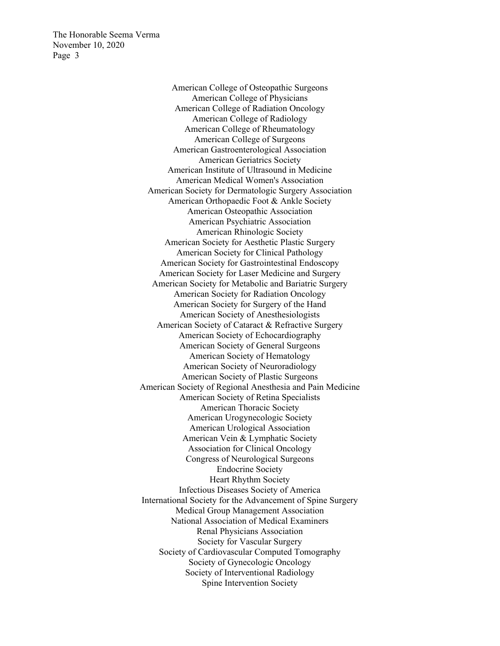> American College of Osteopathic Surgeons American College of Physicians American College of Radiation Oncology American College of Radiology American College of Rheumatology American College of Surgeons American Gastroenterological Association American Geriatrics Society American Institute of Ultrasound in Medicine American Medical Women's Association American Society for Dermatologic Surgery Association American Orthopaedic Foot & Ankle Society American Osteopathic Association American Psychiatric Association American Rhinologic Society American Society for Aesthetic Plastic Surgery American Society for Clinical Pathology American Society for Gastrointestinal Endoscopy American Society for Laser Medicine and Surgery American Society for Metabolic and Bariatric Surgery American Society for Radiation Oncology American Society for Surgery of the Hand American Society of Anesthesiologists American Society of Cataract & Refractive Surgery American Society of Echocardiography American Society of General Surgeons American Society of Hematology American Society of Neuroradiology American Society of Plastic Surgeons American Society of Regional Anesthesia and Pain Medicine American Society of Retina Specialists American Thoracic Society American Urogynecologic Society American Urological Association American Vein & Lymphatic Society Association for Clinical Oncology Congress of Neurological Surgeons Endocrine Society Heart Rhythm Society Infectious Diseases Society of America International Society for the Advancement of Spine Surgery Medical Group Management Association National Association of Medical Examiners Renal Physicians Association Society for Vascular Surgery Society of Cardiovascular Computed Tomography Society of Gynecologic Oncology Society of Interventional Radiology Spine Intervention Society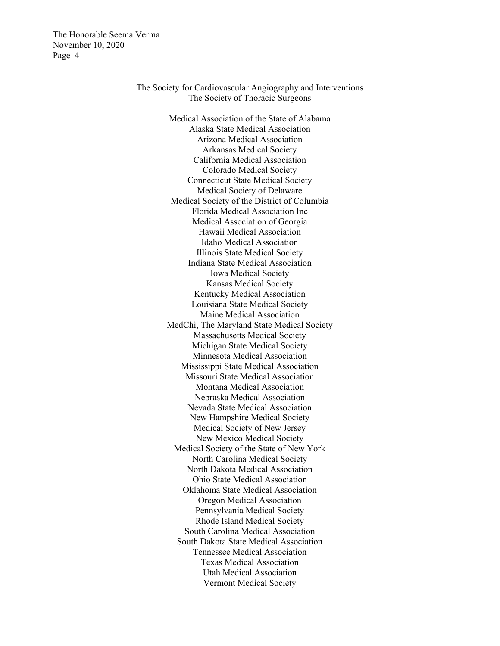> The Society for Cardiovascular Angiography and Interventions The Society of Thoracic Surgeons

> > Medical Association of the State of Alabama Alaska State Medical Association Arizona Medical Association Arkansas Medical Society California Medical Association Colorado Medical Society Connecticut State Medical Society Medical Society of Delaware Medical Society of the District of Columbia Florida Medical Association Inc Medical Association of Georgia Hawaii Medical Association Idaho Medical Association Illinois State Medical Society Indiana State Medical Association Iowa Medical Society Kansas Medical Society Kentucky Medical Association Louisiana State Medical Society Maine Medical Association MedChi, The Maryland State Medical Society Massachusetts Medical Society Michigan State Medical Society Minnesota Medical Association Mississippi State Medical Association Missouri State Medical Association Montana Medical Association Nebraska Medical Association Nevada State Medical Association New Hampshire Medical Society Medical Society of New Jersey New Mexico Medical Society Medical Society of the State of New York North Carolina Medical Society North Dakota Medical Association Ohio State Medical Association Oklahoma State Medical Association Oregon Medical Association Pennsylvania Medical Society Rhode Island Medical Society South Carolina Medical Association South Dakota State Medical Association Tennessee Medical Association Texas Medical Association Utah Medical Association Vermont Medical Society